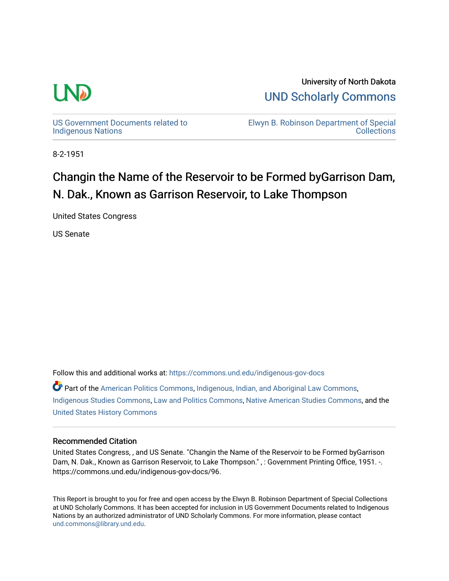

University of North Dakota [UND Scholarly Commons](https://commons.und.edu/) 

[US Government Documents related to](https://commons.und.edu/indigenous-gov-docs)  [Indigenous Nations](https://commons.und.edu/indigenous-gov-docs) 

[Elwyn B. Robinson Department of Special](https://commons.und.edu/archives)  **Collections** 

8-2-1951

# Changin the Name of the Reservoir to be Formed byGarrison Dam, N. Dak., Known as Garrison Reservoir, to Lake Thompson

United States Congress

US Senate

Follow this and additional works at: [https://commons.und.edu/indigenous-gov-docs](https://commons.und.edu/indigenous-gov-docs?utm_source=commons.und.edu%2Findigenous-gov-docs%2F96&utm_medium=PDF&utm_campaign=PDFCoverPages) 

Part of the [American Politics Commons,](http://network.bepress.com/hgg/discipline/387?utm_source=commons.und.edu%2Findigenous-gov-docs%2F96&utm_medium=PDF&utm_campaign=PDFCoverPages) [Indigenous, Indian, and Aboriginal Law Commons](http://network.bepress.com/hgg/discipline/894?utm_source=commons.und.edu%2Findigenous-gov-docs%2F96&utm_medium=PDF&utm_campaign=PDFCoverPages), [Indigenous Studies Commons](http://network.bepress.com/hgg/discipline/571?utm_source=commons.und.edu%2Findigenous-gov-docs%2F96&utm_medium=PDF&utm_campaign=PDFCoverPages), [Law and Politics Commons](http://network.bepress.com/hgg/discipline/867?utm_source=commons.und.edu%2Findigenous-gov-docs%2F96&utm_medium=PDF&utm_campaign=PDFCoverPages), [Native American Studies Commons](http://network.bepress.com/hgg/discipline/1434?utm_source=commons.und.edu%2Findigenous-gov-docs%2F96&utm_medium=PDF&utm_campaign=PDFCoverPages), and the [United States History Commons](http://network.bepress.com/hgg/discipline/495?utm_source=commons.und.edu%2Findigenous-gov-docs%2F96&utm_medium=PDF&utm_campaign=PDFCoverPages)

## Recommended Citation

United States Congress, , and US Senate. "Changin the Name of the Reservoir to be Formed byGarrison Dam, N. Dak., Known as Garrison Reservoir, to Lake Thompson.", : Government Printing Office, 1951. -. https://commons.und.edu/indigenous-gov-docs/96.

This Report is brought to you for free and open access by the Elwyn B. Robinson Department of Special Collections at UND Scholarly Commons. It has been accepted for inclusion in US Government Documents related to Indigenous Nations by an authorized administrator of UND Scholarly Commons. For more information, please contact [und.commons@library.und.edu](mailto:und.commons@library.und.edu).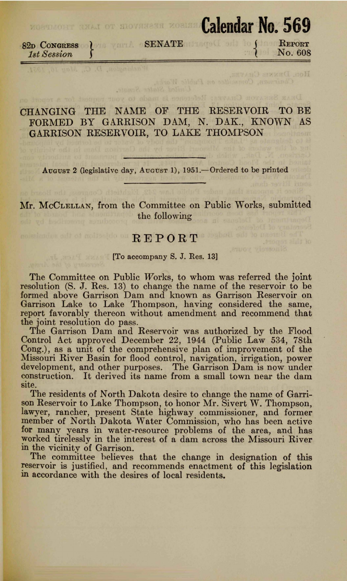82n CoNGRESS *1st Session* } SENATE **MORTHOUT GEAR OT SOUTHERN MORTHOUT NO. 569 REPORT** No. 608

Hon. DENNIS CHAVEZ.

## CHANGING THE NAME OF THE RESERVOIR TO BE FORMED BY GARRISON DAM, N. DAK., KNOWN AS GARRISON RESERVOIR, TO LAKE THOMPSON

August 2 (legislative day, August 1), 1951.—Ordered to be printed

**Mr.** McCLELLAN, from the Committee on Public Works, submitted the following

### REPORT

#### **Example 18 In the U.S. Company S. J. Res. 13]**

The Committee on Public Works, to whom was referred the joint resolution (S. J. Res. 13) to change the name of the reservoir to be formed above Garrison Dam and known as Garrison Reservoir on Garrison Lake to Lake Thompson, having considered the same, report favorably thereon without amendment and recommend that the joint resolution do pass.

The Garrison Dam and Reservoir was authorized by the Flood Control Act approved December 22, 1944 (Public Law 534, 78th Cong.), as a unit of the comprehensive plan of improvement of the Missouri River Basin for flood control, navigation, irrigation, power development, and other purposes. The Garrison Dam is now under construction. It derived its name from a small town near the dam site.

The residents of North Dakota desire to change the name of Garrison Reservoir to Lake Thompson, to honor Mr. Sivert W. Thompson, lawyer, rancher, present State highway commissioner, and former member of North Dakota Water Commission, who has been active for many years in water-resource problems of the area, and has worked tirelessly in the interest of a dam across the Missouri River in the vicinity of Garrison.

The committee helieves that the change in designation of this reservoir is justified, and recommends enactment of this legislation m accordance with the desires of local residents.